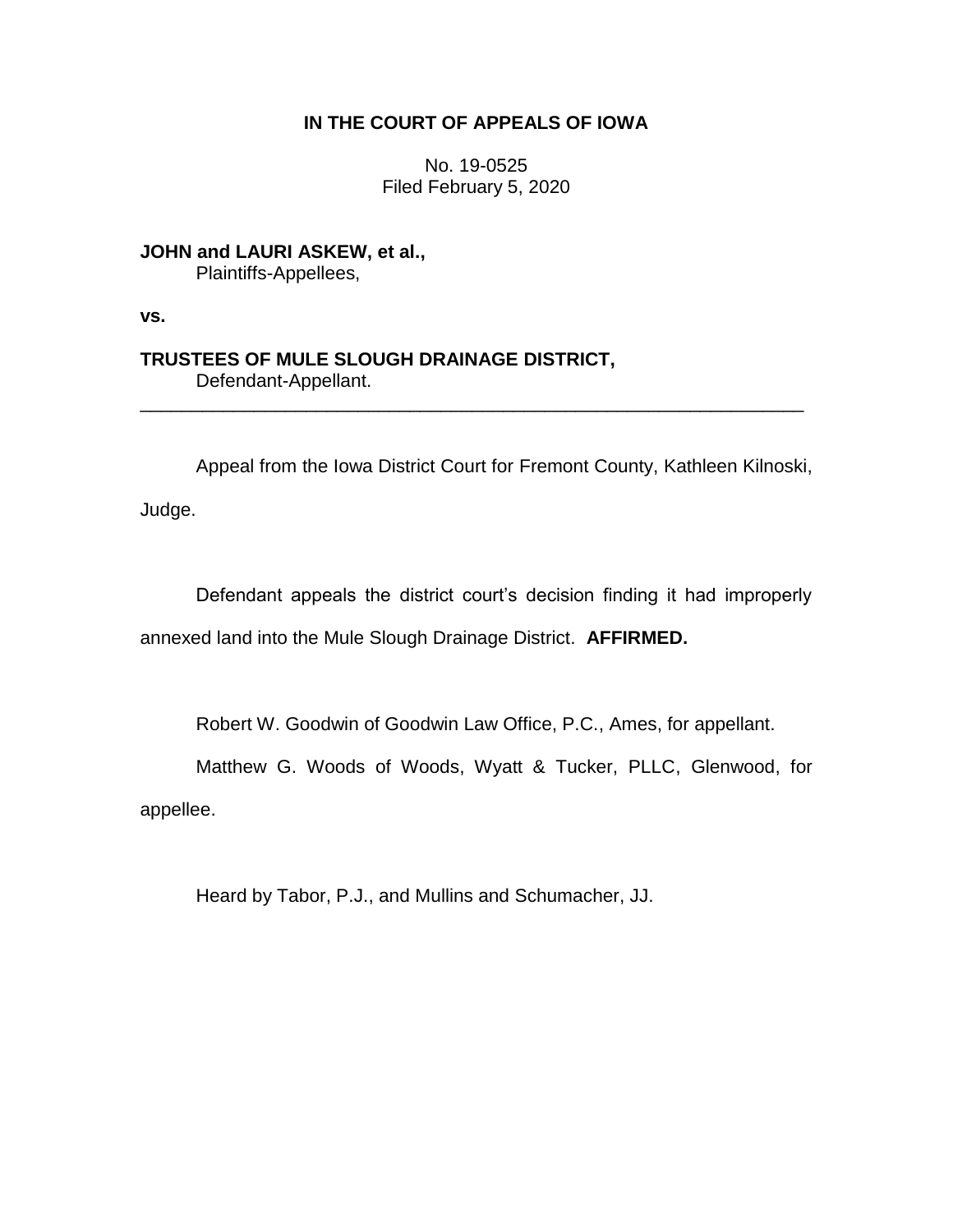# **IN THE COURT OF APPEALS OF IOWA**

No. 19-0525 Filed February 5, 2020

**JOHN and LAURI ASKEW, et al.,** Plaintiffs-Appellees,

**vs.**

## **TRUSTEES OF MULE SLOUGH DRAINAGE DISTRICT,** Defendant-Appellant.

Appeal from the Iowa District Court for Fremont County, Kathleen Kilnoski,

\_\_\_\_\_\_\_\_\_\_\_\_\_\_\_\_\_\_\_\_\_\_\_\_\_\_\_\_\_\_\_\_\_\_\_\_\_\_\_\_\_\_\_\_\_\_\_\_\_\_\_\_\_\_\_\_\_\_\_\_\_\_\_\_

Judge.

Defendant appeals the district court's decision finding it had improperly annexed land into the Mule Slough Drainage District. **AFFIRMED.**

Robert W. Goodwin of Goodwin Law Office, P.C., Ames, for appellant.

Matthew G. Woods of Woods, Wyatt & Tucker, PLLC, Glenwood, for

appellee.

Heard by Tabor, P.J., and Mullins and Schumacher, JJ.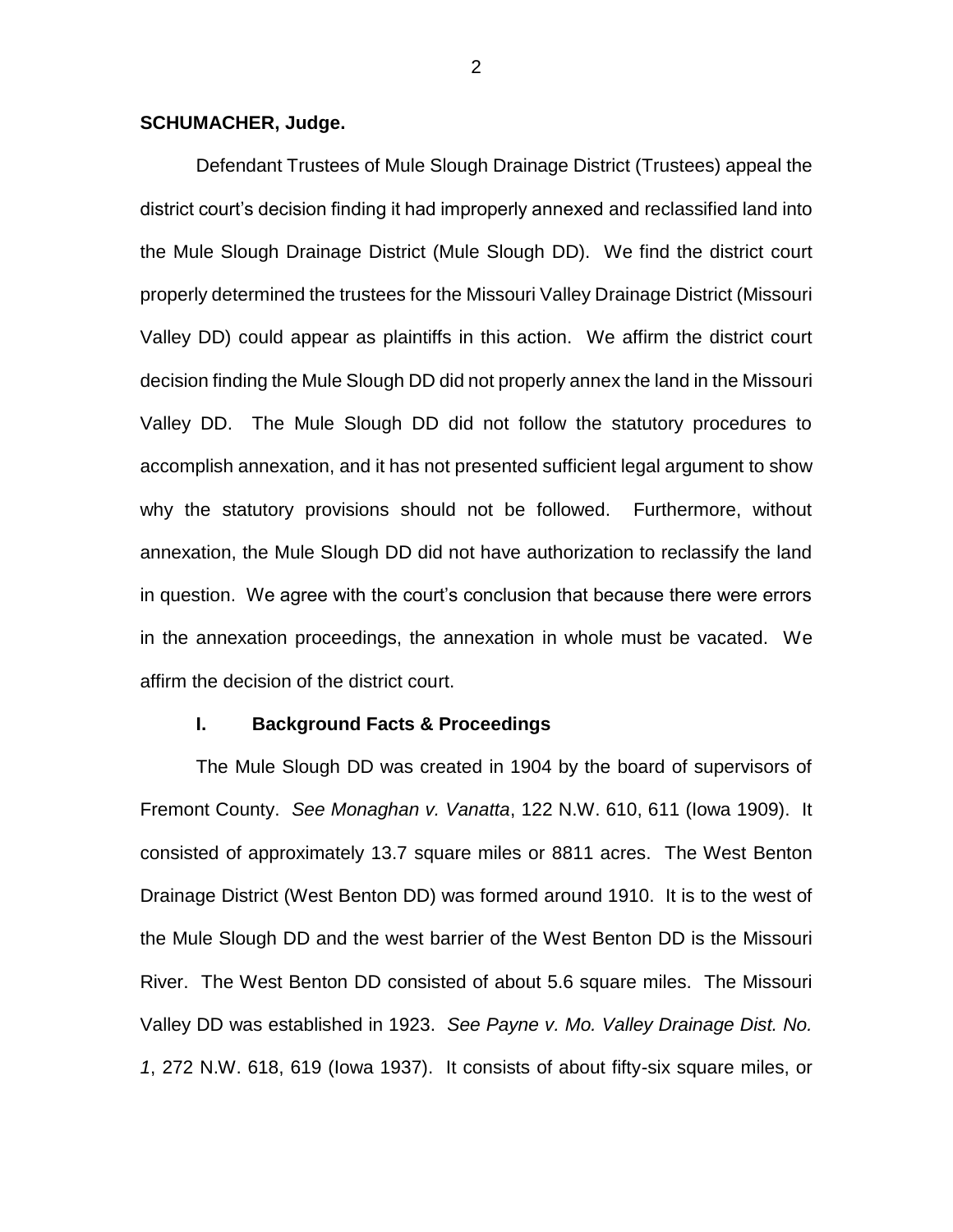### **SCHUMACHER, Judge.**

Defendant Trustees of Mule Slough Drainage District (Trustees) appeal the district court's decision finding it had improperly annexed and reclassified land into the Mule Slough Drainage District (Mule Slough DD). We find the district court properly determined the trustees for the Missouri Valley Drainage District (Missouri Valley DD) could appear as plaintiffs in this action. We affirm the district court decision finding the Mule Slough DD did not properly annex the land in the Missouri Valley DD. The Mule Slough DD did not follow the statutory procedures to accomplish annexation, and it has not presented sufficient legal argument to show why the statutory provisions should not be followed. Furthermore, without annexation, the Mule Slough DD did not have authorization to reclassify the land in question. We agree with the court's conclusion that because there were errors in the annexation proceedings, the annexation in whole must be vacated. We affirm the decision of the district court.

#### **I. Background Facts & Proceedings**

The Mule Slough DD was created in 1904 by the board of supervisors of Fremont County. *See Monaghan v. Vanatta*, 122 N.W. 610, 611 (Iowa 1909). It consisted of approximately 13.7 square miles or 8811 acres. The West Benton Drainage District (West Benton DD) was formed around 1910. It is to the west of the Mule Slough DD and the west barrier of the West Benton DD is the Missouri River. The West Benton DD consisted of about 5.6 square miles. The Missouri Valley DD was established in 1923. *See Payne v. Mo. Valley Drainage Dist. No. 1*, 272 N.W. 618, 619 (Iowa 1937). It consists of about fifty-six square miles, or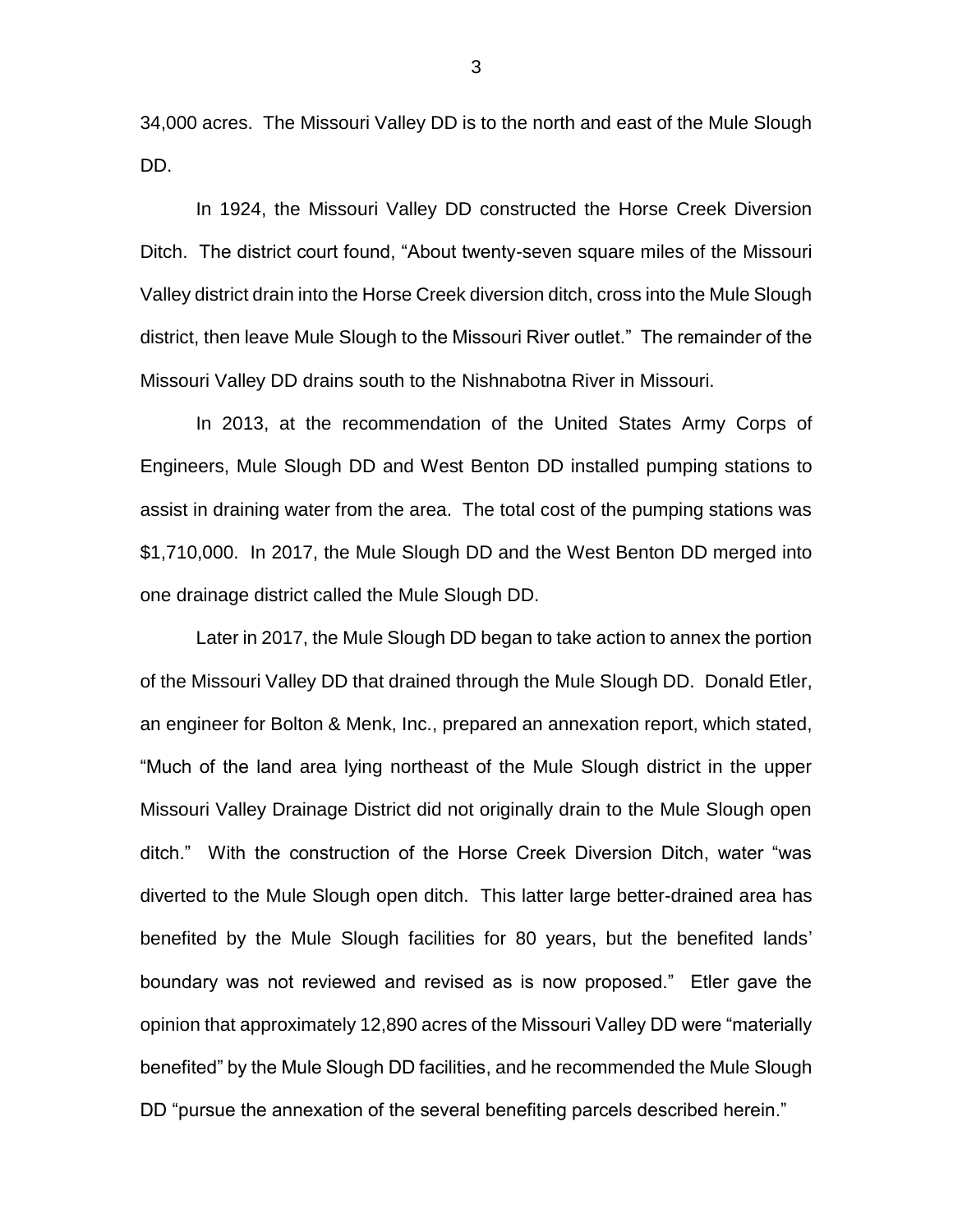34,000 acres. The Missouri Valley DD is to the north and east of the Mule Slough DD.

In 1924, the Missouri Valley DD constructed the Horse Creek Diversion Ditch. The district court found, "About twenty-seven square miles of the Missouri Valley district drain into the Horse Creek diversion ditch, cross into the Mule Slough district, then leave Mule Slough to the Missouri River outlet." The remainder of the Missouri Valley DD drains south to the Nishnabotna River in Missouri.

In 2013, at the recommendation of the United States Army Corps of Engineers, Mule Slough DD and West Benton DD installed pumping stations to assist in draining water from the area. The total cost of the pumping stations was \$1,710,000. In 2017, the Mule Slough DD and the West Benton DD merged into one drainage district called the Mule Slough DD.

Later in 2017, the Mule Slough DD began to take action to annex the portion of the Missouri Valley DD that drained through the Mule Slough DD. Donald Etler, an engineer for Bolton & Menk, Inc., prepared an annexation report, which stated, "Much of the land area lying northeast of the Mule Slough district in the upper Missouri Valley Drainage District did not originally drain to the Mule Slough open ditch." With the construction of the Horse Creek Diversion Ditch, water "was diverted to the Mule Slough open ditch. This latter large better-drained area has benefited by the Mule Slough facilities for 80 years, but the benefited lands' boundary was not reviewed and revised as is now proposed." Etler gave the opinion that approximately 12,890 acres of the Missouri Valley DD were "materially benefited" by the Mule Slough DD facilities, and he recommended the Mule Slough DD "pursue the annexation of the several benefiting parcels described herein."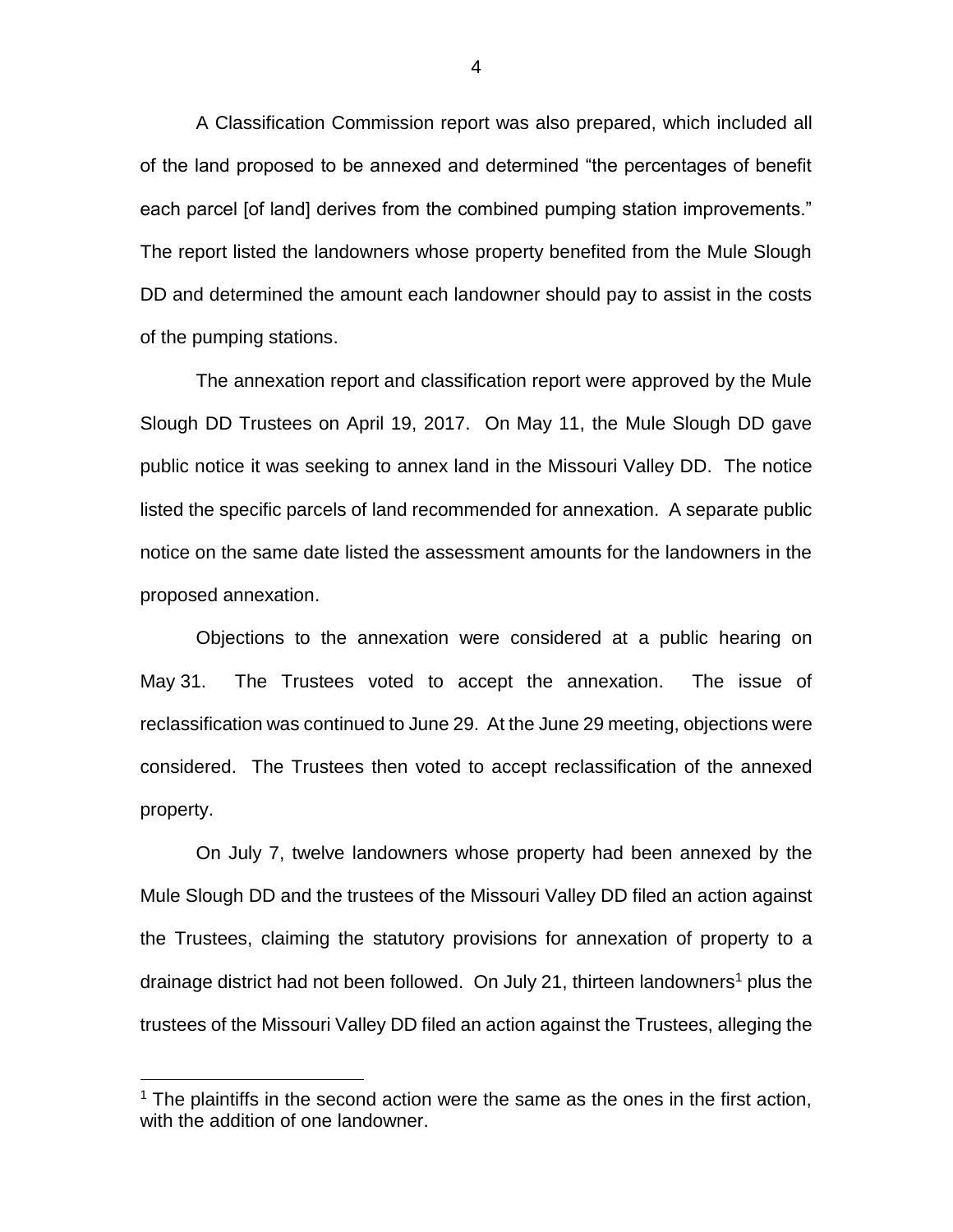A Classification Commission report was also prepared, which included all of the land proposed to be annexed and determined "the percentages of benefit each parcel [of land] derives from the combined pumping station improvements." The report listed the landowners whose property benefited from the Mule Slough DD and determined the amount each landowner should pay to assist in the costs of the pumping stations.

The annexation report and classification report were approved by the Mule Slough DD Trustees on April 19, 2017. On May 11, the Mule Slough DD gave public notice it was seeking to annex land in the Missouri Valley DD. The notice listed the specific parcels of land recommended for annexation. A separate public notice on the same date listed the assessment amounts for the landowners in the proposed annexation.

Objections to the annexation were considered at a public hearing on May 31. The Trustees voted to accept the annexation. The issue of reclassification was continued to June 29. At the June 29 meeting, objections were considered. The Trustees then voted to accept reclassification of the annexed property.

On July 7, twelve landowners whose property had been annexed by the Mule Slough DD and the trustees of the Missouri Valley DD filed an action against the Trustees, claiming the statutory provisions for annexation of property to a drainage district had not been followed. On July 21, thirteen landowners<sup>1</sup> plus the trustees of the Missouri Valley DD filed an action against the Trustees, alleging the

 $\overline{a}$ 

 $1$  The plaintiffs in the second action were the same as the ones in the first action, with the addition of one landowner.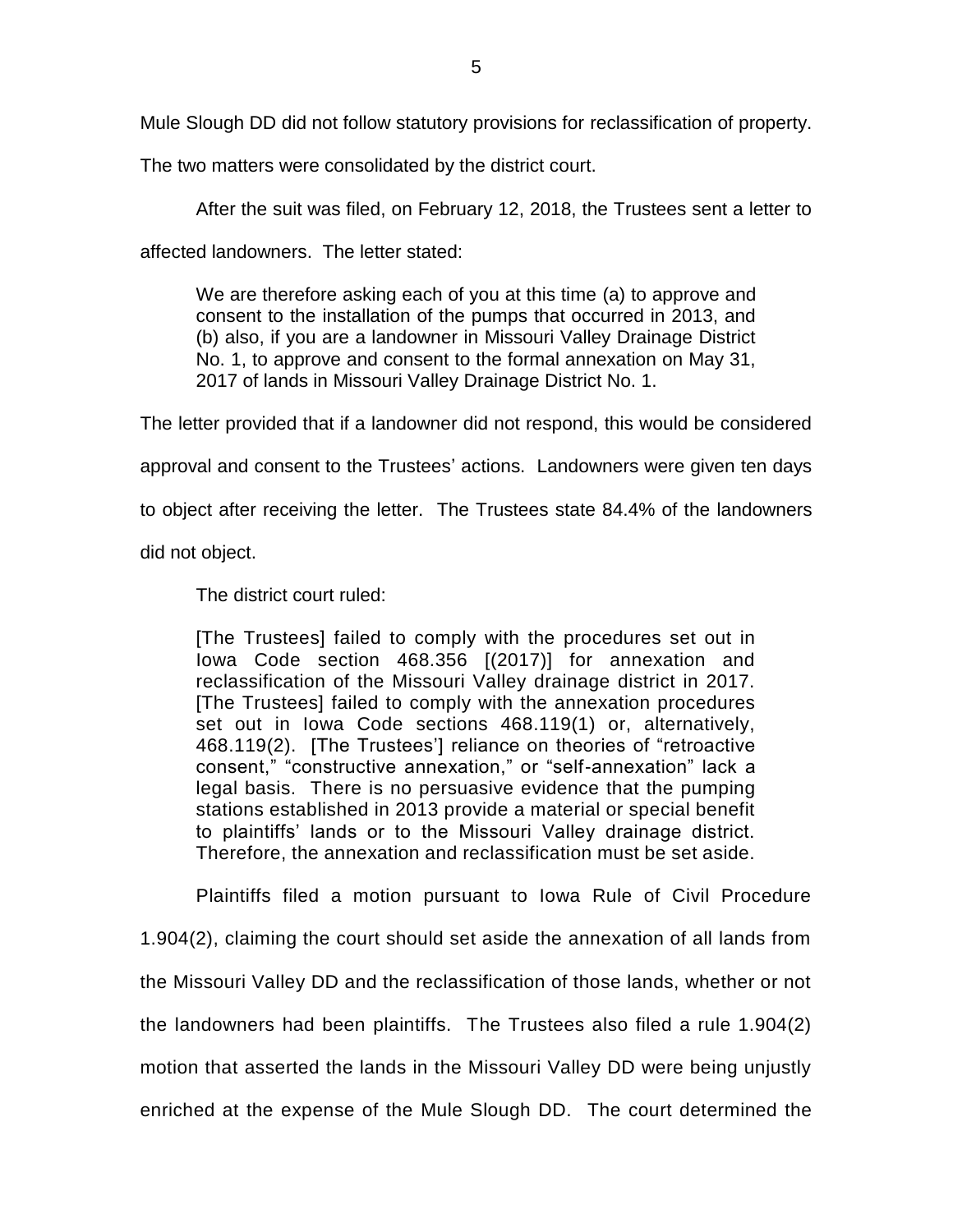Mule Slough DD did not follow statutory provisions for reclassification of property.

The two matters were consolidated by the district court.

After the suit was filed, on February 12, 2018, the Trustees sent a letter to

affected landowners. The letter stated:

We are therefore asking each of you at this time (a) to approve and consent to the installation of the pumps that occurred in 2013, and (b) also, if you are a landowner in Missouri Valley Drainage District No. 1, to approve and consent to the formal annexation on May 31, 2017 of lands in Missouri Valley Drainage District No. 1.

The letter provided that if a landowner did not respond, this would be considered approval and consent to the Trustees' actions. Landowners were given ten days

to object after receiving the letter. The Trustees state 84.4% of the landowners

did not object.

The district court ruled:

[The Trustees] failed to comply with the procedures set out in Iowa Code section 468.356 [(2017)] for annexation and reclassification of the Missouri Valley drainage district in 2017. [The Trustees] failed to comply with the annexation procedures set out in Iowa Code sections 468.119(1) or, alternatively, 468.119(2). [The Trustees'] reliance on theories of "retroactive consent," "constructive annexation," or "self-annexation" lack a legal basis. There is no persuasive evidence that the pumping stations established in 2013 provide a material or special benefit to plaintiffs' lands or to the Missouri Valley drainage district. Therefore, the annexation and reclassification must be set aside.

Plaintiffs filed a motion pursuant to Iowa Rule of Civil Procedure 1.904(2), claiming the court should set aside the annexation of all lands from the Missouri Valley DD and the reclassification of those lands, whether or not the landowners had been plaintiffs. The Trustees also filed a rule 1.904(2) motion that asserted the lands in the Missouri Valley DD were being unjustly enriched at the expense of the Mule Slough DD. The court determined the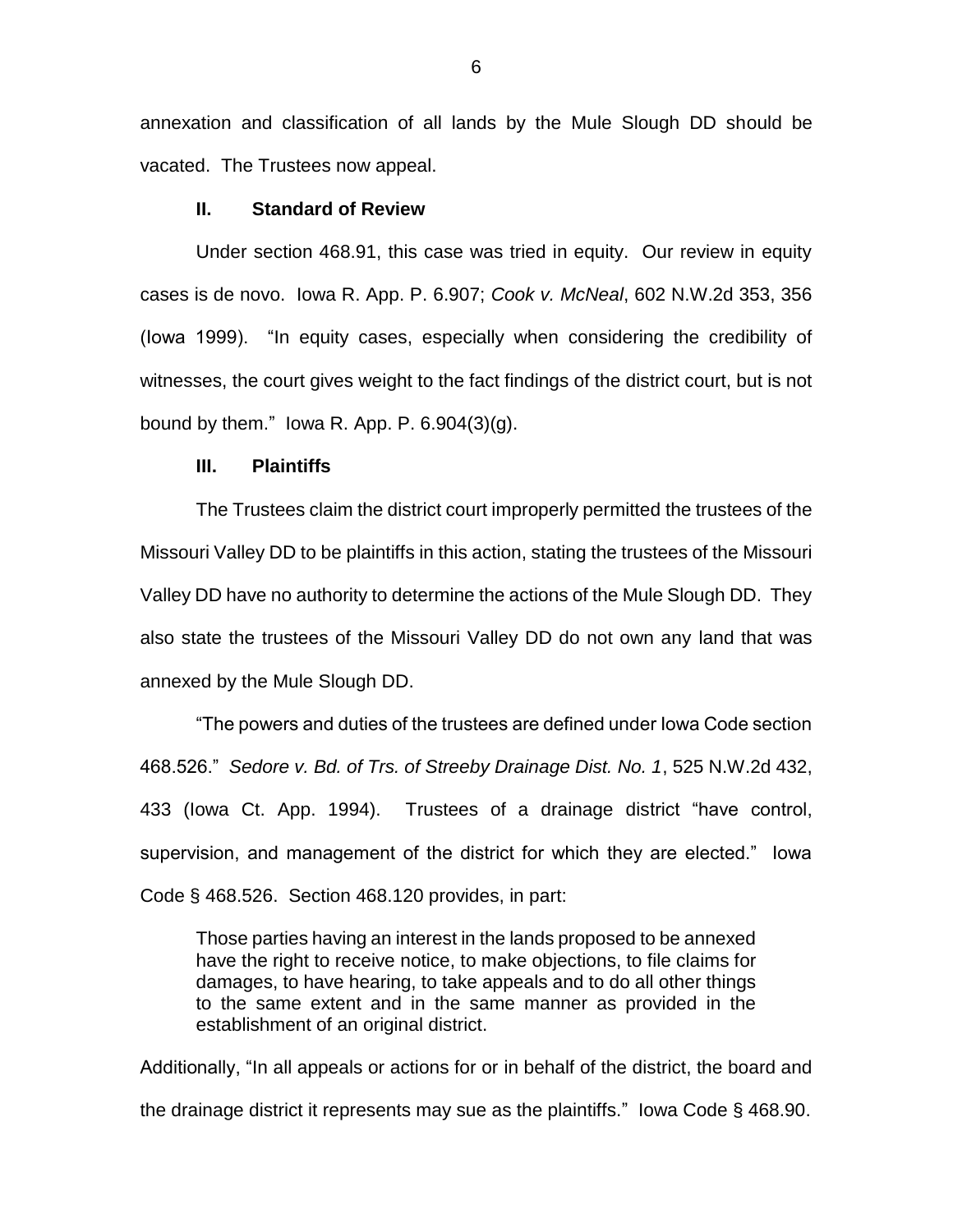annexation and classification of all lands by the Mule Slough DD should be vacated. The Trustees now appeal.

#### **II. Standard of Review**

Under section 468.91, this case was tried in equity. Our review in equity cases is de novo. Iowa R. App. P. 6.907; *Cook v. McNeal*, 602 N.W.2d 353, 356 (Iowa 1999). "In equity cases, especially when considering the credibility of witnesses, the court gives weight to the fact findings of the district court, but is not bound by them." lowa R. App. P.  $6.904(3)(g)$ .

#### **III. Plaintiffs**

The Trustees claim the district court improperly permitted the trustees of the Missouri Valley DD to be plaintiffs in this action, stating the trustees of the Missouri Valley DD have no authority to determine the actions of the Mule Slough DD. They also state the trustees of the Missouri Valley DD do not own any land that was annexed by the Mule Slough DD.

"The powers and duties of the trustees are defined under Iowa Code section 468.526." *Sedore v. Bd. of Trs. of Streeby Drainage Dist. No. 1*, 525 N.W.2d 432, 433 (Iowa Ct. App. 1994). Trustees of a drainage district "have control, supervision, and management of the district for which they are elected." Iowa Code § 468.526. Section 468.120 provides, in part:

Those parties having an interest in the lands proposed to be annexed have the right to receive notice, to make objections, to file claims for damages, to have hearing, to take appeals and to do all other things to the same extent and in the same manner as provided in the establishment of an original district.

Additionally, "In all appeals or actions for or in behalf of the district, the board and the drainage district it represents may sue as the plaintiffs." Iowa Code § 468.90.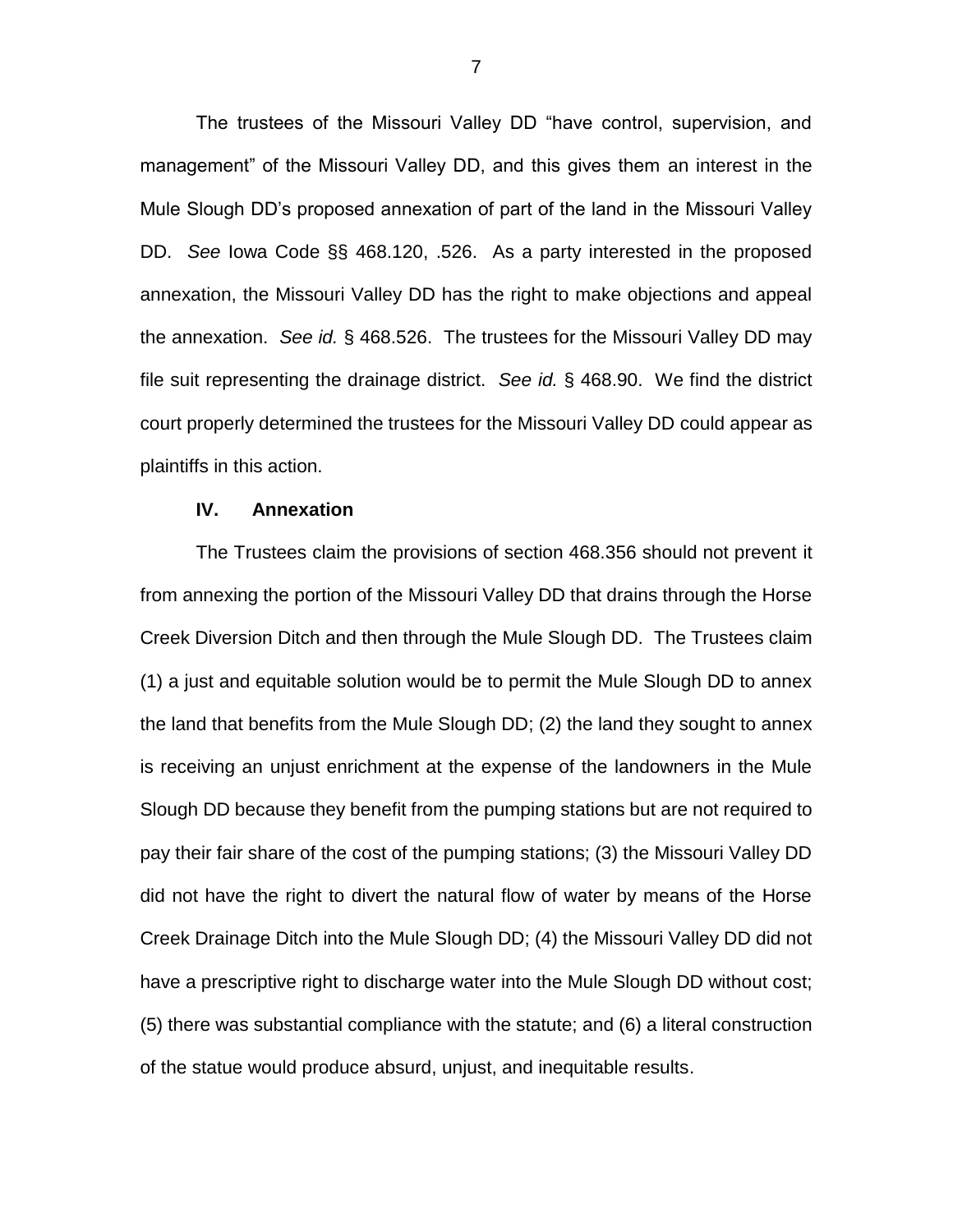The trustees of the Missouri Valley DD "have control, supervision, and management" of the Missouri Valley DD, and this gives them an interest in the Mule Slough DD's proposed annexation of part of the land in the Missouri Valley DD. *See* Iowa Code §§ 468.120, .526. As a party interested in the proposed annexation, the Missouri Valley DD has the right to make objections and appeal the annexation. *See id.* § 468.526. The trustees for the Missouri Valley DD may file suit representing the drainage district. *See id.* § 468.90. We find the district court properly determined the trustees for the Missouri Valley DD could appear as plaintiffs in this action.

#### **IV. Annexation**

The Trustees claim the provisions of section 468.356 should not prevent it from annexing the portion of the Missouri Valley DD that drains through the Horse Creek Diversion Ditch and then through the Mule Slough DD. The Trustees claim (1) a just and equitable solution would be to permit the Mule Slough DD to annex the land that benefits from the Mule Slough DD; (2) the land they sought to annex is receiving an unjust enrichment at the expense of the landowners in the Mule Slough DD because they benefit from the pumping stations but are not required to pay their fair share of the cost of the pumping stations; (3) the Missouri Valley DD did not have the right to divert the natural flow of water by means of the Horse Creek Drainage Ditch into the Mule Slough DD; (4) the Missouri Valley DD did not have a prescriptive right to discharge water into the Mule Slough DD without cost; (5) there was substantial compliance with the statute; and (6) a literal construction of the statue would produce absurd, unjust, and inequitable results.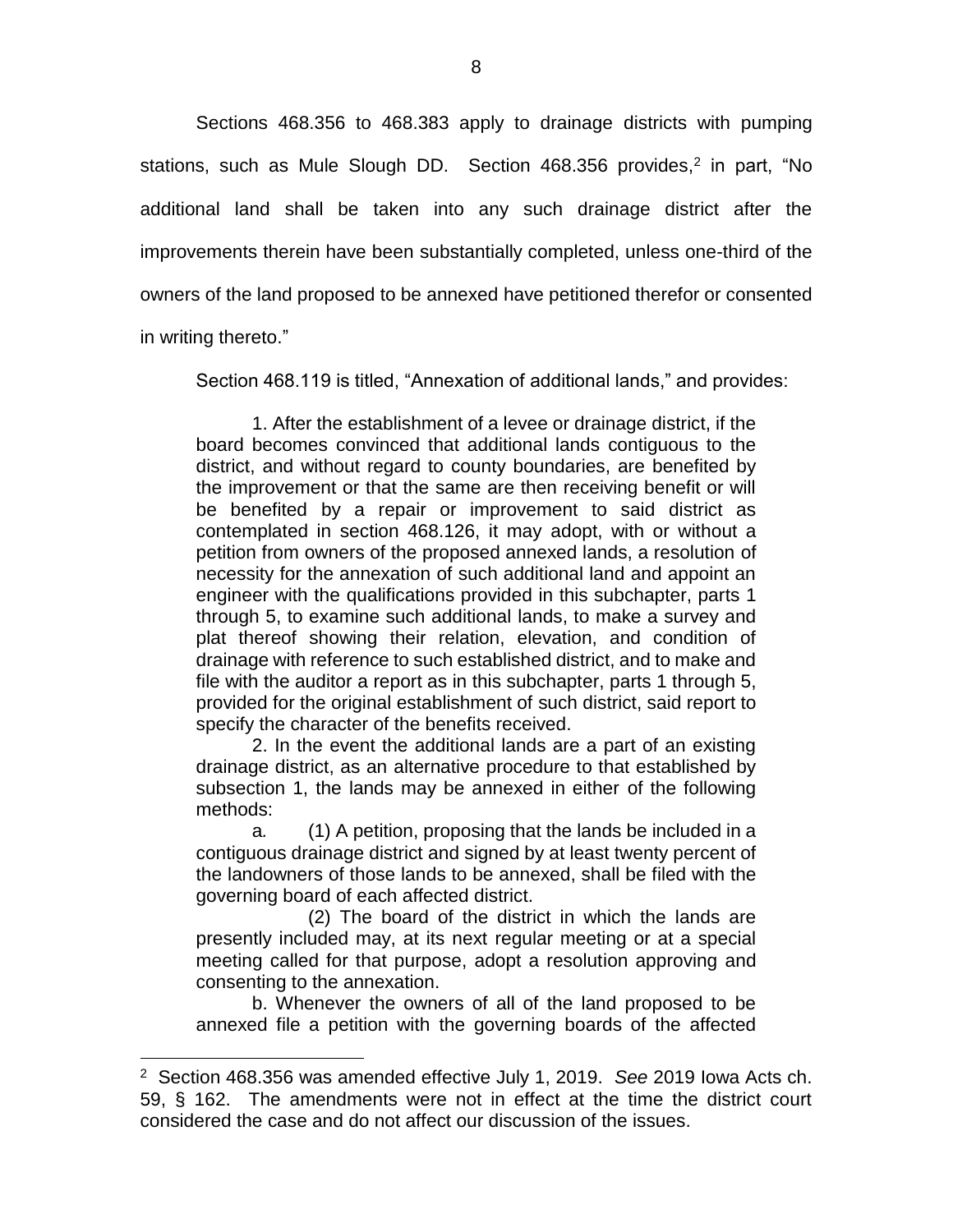Sections 468.356 to 468.383 apply to drainage districts with pumping stations, such as Mule Slough DD. Section 468.356 provides,<sup>2</sup> in part, "No additional land shall be taken into any such drainage district after the improvements therein have been substantially completed, unless one-third of the owners of the land proposed to be annexed have petitioned therefor or consented in writing thereto."

 $\overline{a}$ 

Section 468.119 is titled, "Annexation of additional lands," and provides:

1. After the establishment of a levee or drainage district, if the board becomes convinced that additional lands contiguous to the district, and without regard to county boundaries, are benefited by the improvement or that the same are then receiving benefit or will be benefited by a repair or improvement to said district as contemplated in section 468.126, it may adopt, with or without a petition from owners of the proposed annexed lands, a resolution of necessity for the annexation of such additional land and appoint an engineer with the qualifications provided in this subchapter, parts 1 through 5, to examine such additional lands, to make a survey and plat thereof showing their relation, elevation, and condition of drainage with reference to such established district, and to make and file with the auditor a report as in this subchapter, parts 1 through 5, provided for the original establishment of such district, said report to specify the character of the benefits received.

2. In the event the additional lands are a part of an existing drainage district, as an alternative procedure to that established by subsection 1, the lands may be annexed in either of the following methods:

a*.* (1) A petition, proposing that the lands be included in a contiguous drainage district and signed by at least twenty percent of the landowners of those lands to be annexed, shall be filed with the governing board of each affected district.

(2) The board of the district in which the lands are presently included may, at its next regular meeting or at a special meeting called for that purpose, adopt a resolution approving and consenting to the annexation.

b. Whenever the owners of all of the land proposed to be annexed file a petition with the governing boards of the affected

<sup>2</sup> Section 468.356 was amended effective July 1, 2019. *See* 2019 Iowa Acts ch. 59, § 162. The amendments were not in effect at the time the district court considered the case and do not affect our discussion of the issues.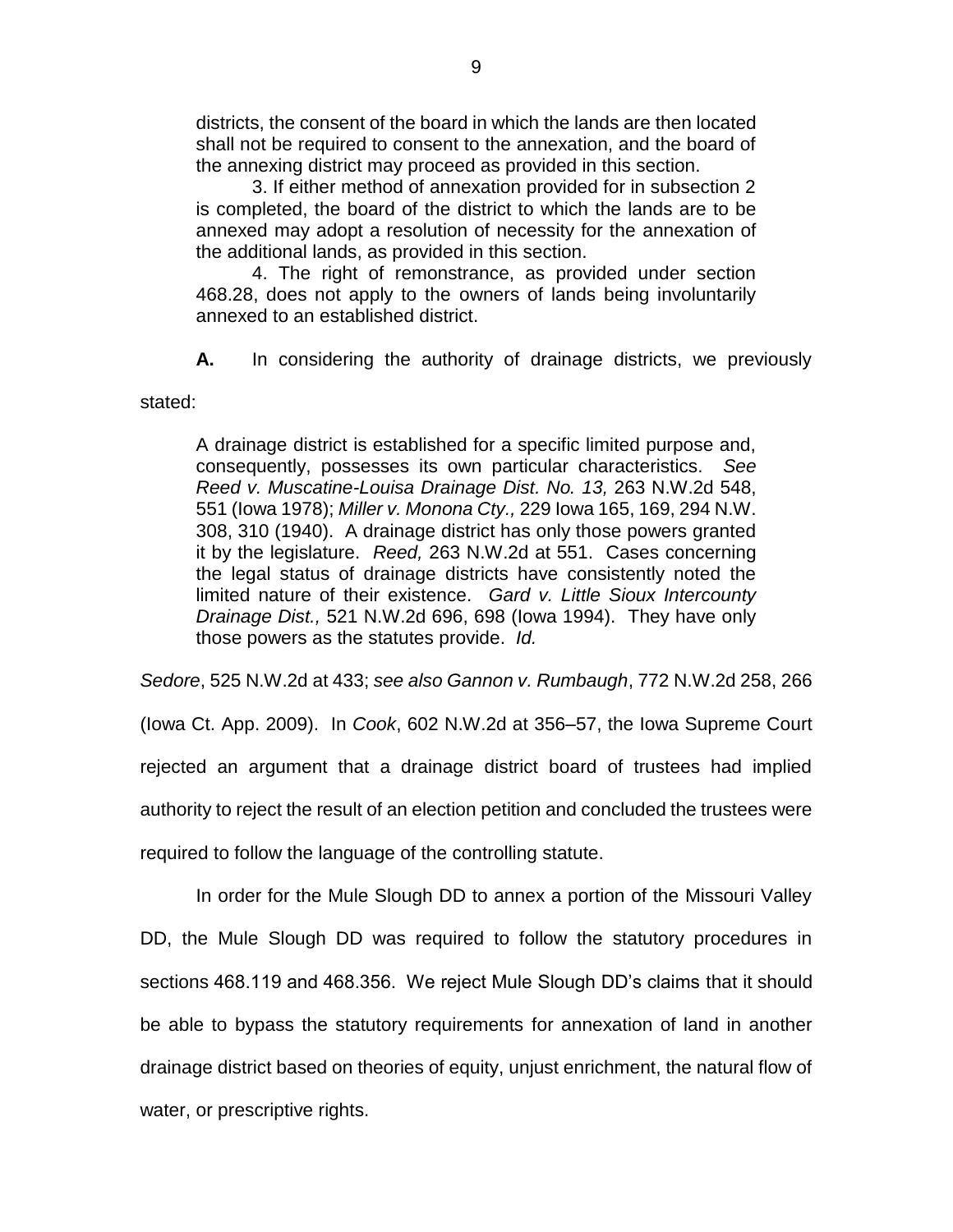districts, the consent of the board in which the lands are then located shall not be required to consent to the annexation, and the board of the annexing district may proceed as provided in this section.

3. If either method of annexation provided for in subsection 2 is completed, the board of the district to which the lands are to be annexed may adopt a resolution of necessity for the annexation of the additional lands, as provided in this section.

4. The right of remonstrance, as provided under section 468.28, does not apply to the owners of lands being involuntarily annexed to an established district.

**A.** In considering the authority of drainage districts, we previously

stated:

A drainage district is established for a specific limited purpose and, consequently, possesses its own particular characteristics. *See Reed v. Muscatine-Louisa Drainage Dist. No. 13,* 263 N.W.2d 548, 551 (Iowa 1978); *Miller v. Monona Cty.,* 229 Iowa 165, 169, 294 N.W. 308, 310 (1940). A drainage district has only those powers granted it by the legislature. *Reed,* 263 N.W.2d at 551. Cases concerning the legal status of drainage districts have consistently noted the limited nature of their existence. *Gard v. Little Sioux Intercounty Drainage Dist.,* 521 N.W.2d 696, 698 (Iowa 1994). They have only those powers as the statutes provide. *Id.*

*Sedore*, 525 N.W.2d at 433; *see also Gannon v. Rumbaugh*, 772 N.W.2d 258, 266

(Iowa Ct. App. 2009). In *Cook*, 602 N.W.2d at 356–57, the Iowa Supreme Court rejected an argument that a drainage district board of trustees had implied authority to reject the result of an election petition and concluded the trustees were required to follow the language of the controlling statute.

In order for the Mule Slough DD to annex a portion of the Missouri Valley DD, the Mule Slough DD was required to follow the statutory procedures in sections 468.119 and 468.356. We reject Mule Slough DD's claims that it should be able to bypass the statutory requirements for annexation of land in another drainage district based on theories of equity, unjust enrichment, the natural flow of water, or prescriptive rights.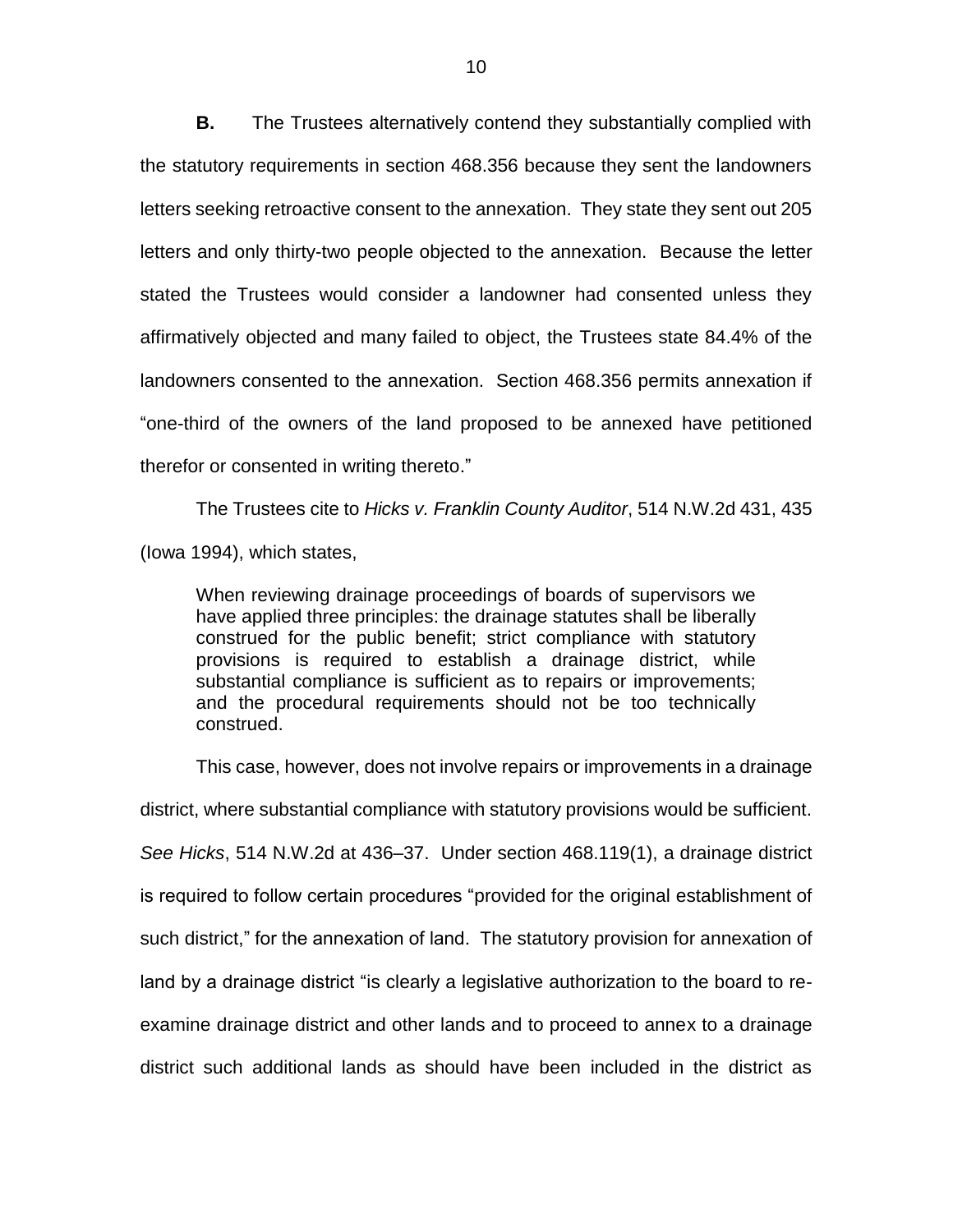**B.** The Trustees alternatively contend they substantially complied with the statutory requirements in section 468.356 because they sent the landowners letters seeking retroactive consent to the annexation. They state they sent out 205 letters and only thirty-two people objected to the annexation. Because the letter stated the Trustees would consider a landowner had consented unless they affirmatively objected and many failed to object, the Trustees state 84.4% of the landowners consented to the annexation. Section 468.356 permits annexation if "one-third of the owners of the land proposed to be annexed have petitioned therefor or consented in writing thereto."

The Trustees cite to *Hicks v. Franklin County Auditor*, 514 N.W.2d 431, 435 (Iowa 1994), which states,

When reviewing drainage proceedings of boards of supervisors we have applied three principles: the drainage statutes shall be liberally construed for the public benefit; strict compliance with statutory provisions is required to establish a drainage district, while substantial compliance is sufficient as to repairs or improvements; and the procedural requirements should not be too technically construed.

This case, however, does not involve repairs or improvements in a drainage district, where substantial compliance with statutory provisions would be sufficient. *See Hicks*, 514 N.W.2d at 436–37. Under section 468.119(1), a drainage district is required to follow certain procedures "provided for the original establishment of such district," for the annexation of land. The statutory provision for annexation of land by a drainage district "is clearly a legislative authorization to the board to reexamine drainage district and other lands and to proceed to annex to a drainage district such additional lands as should have been included in the district as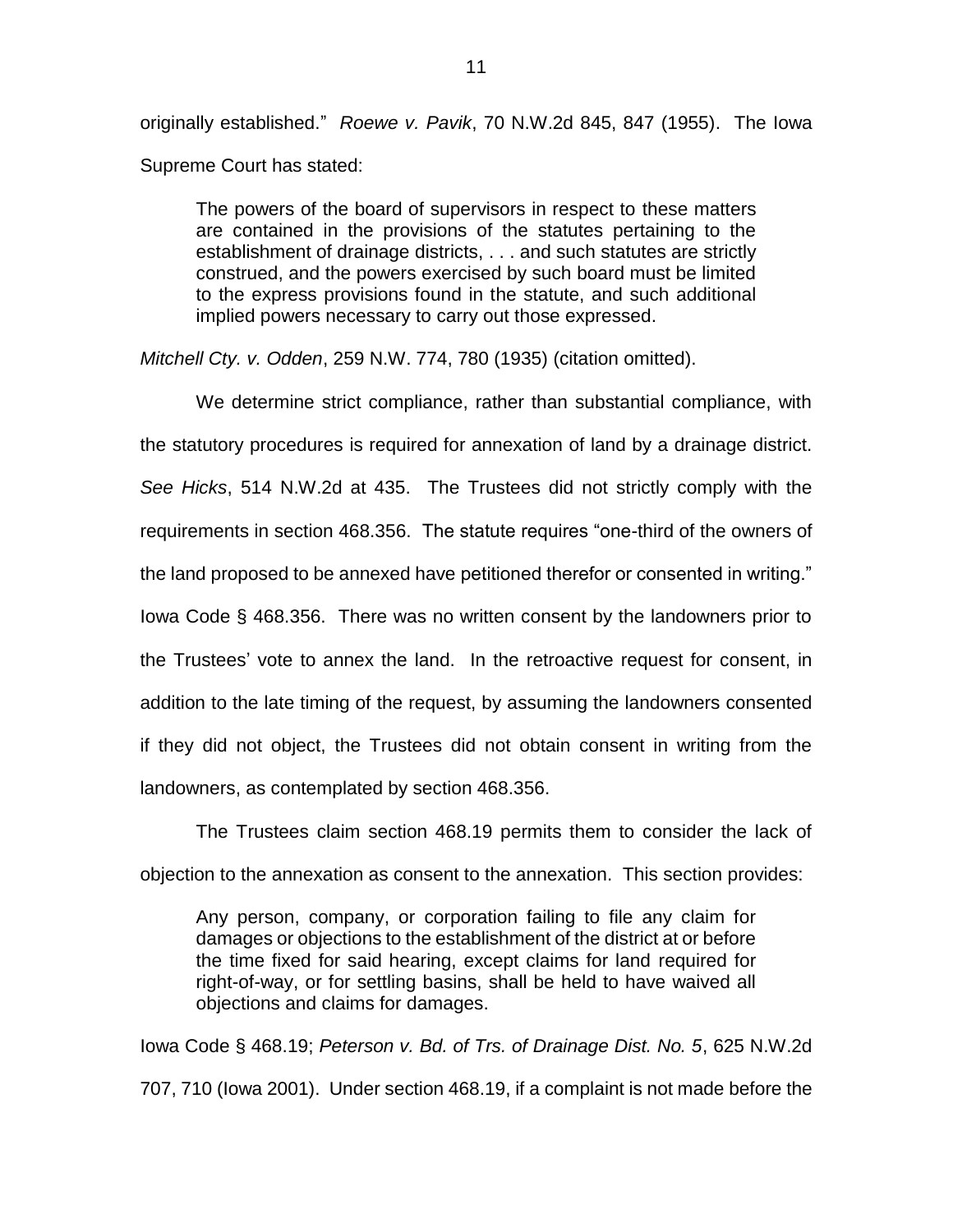originally established." *Roewe v. Pavik*, 70 N.W.2d 845, 847 (1955). The Iowa Supreme Court has stated:

The powers of the board of supervisors in respect to these matters are contained in the provisions of the statutes pertaining to the establishment of drainage districts, . . . and such statutes are strictly construed, and the powers exercised by such board must be limited to the express provisions found in the statute, and such additional implied powers necessary to carry out those expressed.

*Mitchell Cty. v. Odden*, 259 N.W. 774, 780 (1935) (citation omitted).

We determine strict compliance, rather than substantial compliance, with the statutory procedures is required for annexation of land by a drainage district. *See Hicks*, 514 N.W.2d at 435. The Trustees did not strictly comply with the requirements in section 468.356. The statute requires "one-third of the owners of the land proposed to be annexed have petitioned therefor or consented in writing." Iowa Code § 468.356. There was no written consent by the landowners prior to the Trustees' vote to annex the land. In the retroactive request for consent, in addition to the late timing of the request, by assuming the landowners consented if they did not object, the Trustees did not obtain consent in writing from the landowners, as contemplated by section 468.356.

The Trustees claim section 468.19 permits them to consider the lack of objection to the annexation as consent to the annexation. This section provides:

Any person, company, or corporation failing to file any claim for damages or objections to the establishment of the district at or before the time fixed for said hearing, except claims for land required for right-of-way, or for settling basins, shall be held to have waived all objections and claims for damages.

Iowa Code § 468.19; *Peterson v. Bd. of Trs. of Drainage Dist. No. 5*, 625 N.W.2d 707, 710 (Iowa 2001). Under section 468.19, if a complaint is not made before the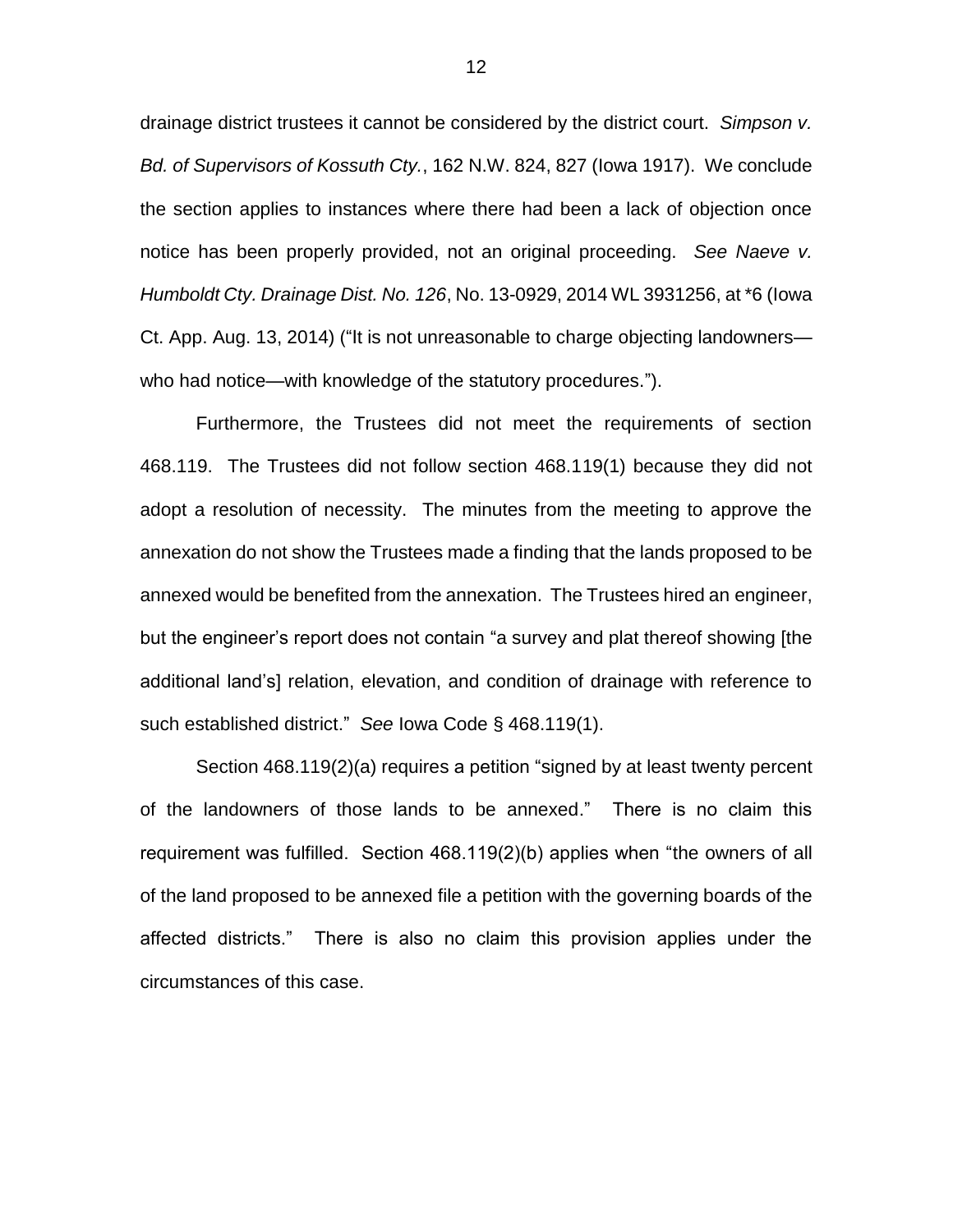drainage district trustees it cannot be considered by the district court. *Simpson v. Bd. of Supervisors of Kossuth Cty.*, 162 N.W. 824, 827 (Iowa 1917). We conclude the section applies to instances where there had been a lack of objection once notice has been properly provided, not an original proceeding. *See Naeve v. Humboldt Cty. Drainage Dist. No. 126*, No. 13-0929, 2014 WL 3931256, at \*6 (Iowa Ct. App. Aug. 13, 2014) ("It is not unreasonable to charge objecting landowners who had notice—with knowledge of the statutory procedures.").

Furthermore, the Trustees did not meet the requirements of section 468.119. The Trustees did not follow section 468.119(1) because they did not adopt a resolution of necessity. The minutes from the meeting to approve the annexation do not show the Trustees made a finding that the lands proposed to be annexed would be benefited from the annexation. The Trustees hired an engineer, but the engineer's report does not contain "a survey and plat thereof showing [the additional land's] relation, elevation, and condition of drainage with reference to such established district." *See* Iowa Code § 468.119(1).

Section 468.119(2)(a) requires a petition "signed by at least twenty percent of the landowners of those lands to be annexed." There is no claim this requirement was fulfilled. Section 468.119(2)(b) applies when "the owners of all of the land proposed to be annexed file a petition with the governing boards of the affected districts." There is also no claim this provision applies under the circumstances of this case.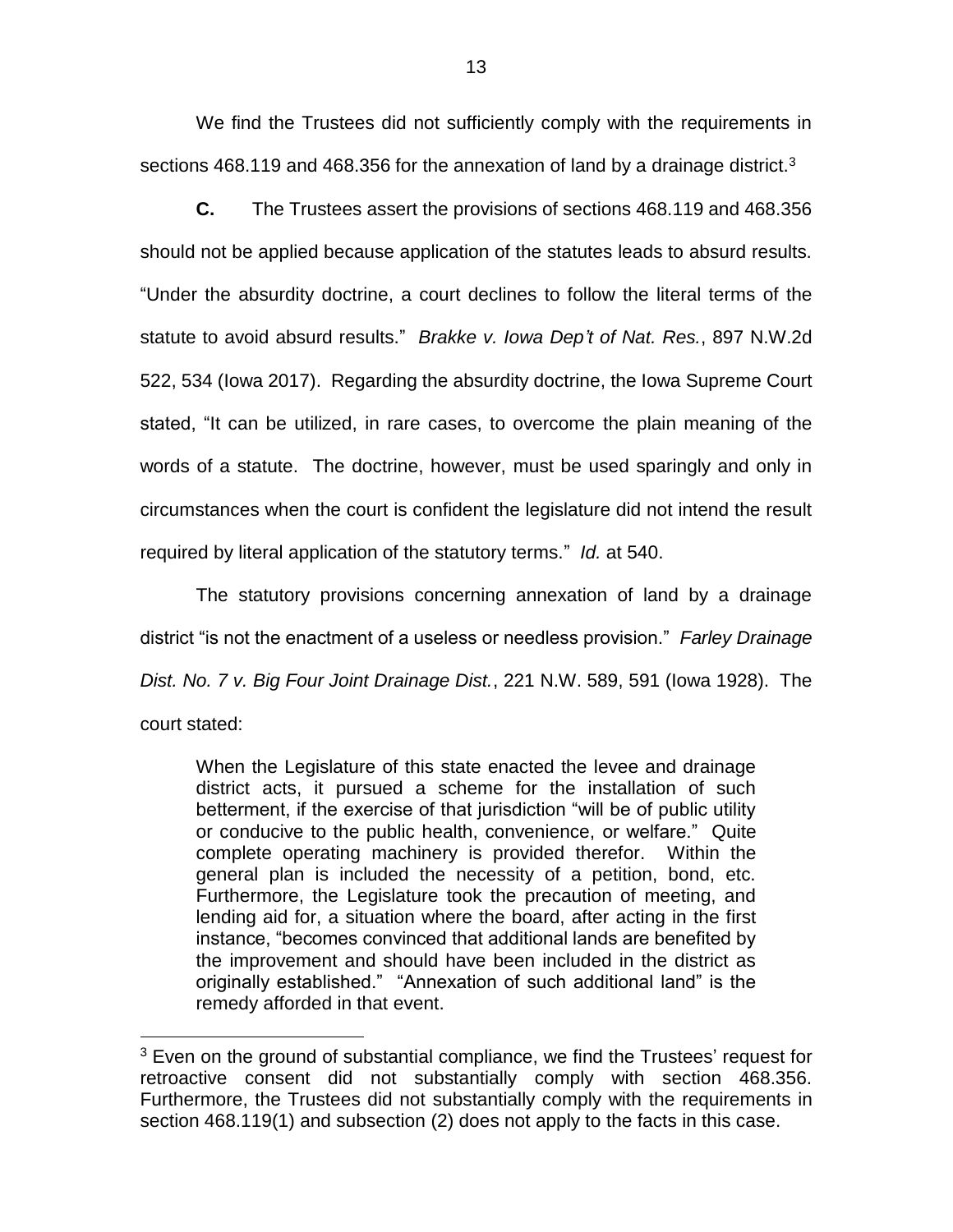We find the Trustees did not sufficiently comply with the requirements in sections 468.119 and 468.356 for the annexation of land by a drainage district.<sup>3</sup>

**C.** The Trustees assert the provisions of sections 468.119 and 468.356 should not be applied because application of the statutes leads to absurd results. "Under the absurdity doctrine, a court declines to follow the literal terms of the statute to avoid absurd results." *Brakke v. Iowa Dep't of Nat. Res.*, 897 N.W.2d 522, 534 (Iowa 2017). Regarding the absurdity doctrine, the Iowa Supreme Court stated, "It can be utilized, in rare cases, to overcome the plain meaning of the words of a statute. The doctrine, however, must be used sparingly and only in circumstances when the court is confident the legislature did not intend the result required by literal application of the statutory terms." *Id.* at 540.

The statutory provisions concerning annexation of land by a drainage district "is not the enactment of a useless or needless provision." *Farley Drainage Dist. No. 7 v. Big Four Joint Drainage Dist.*, 221 N.W. 589, 591 (Iowa 1928). The court stated:

When the Legislature of this state enacted the levee and drainage district acts, it pursued a scheme for the installation of such betterment, if the exercise of that jurisdiction "will be of public utility or conducive to the public health, convenience, or welfare." Quite complete operating machinery is provided therefor. Within the general plan is included the necessity of a petition, bond, etc. Furthermore, the Legislature took the precaution of meeting, and lending aid for, a situation where the board, after acting in the first instance, "becomes convinced that additional lands are benefited by the improvement and should have been included in the district as originally established." "Annexation of such additional land" is the remedy afforded in that event.

 $\overline{a}$ 

 $3$  Even on the ground of substantial compliance, we find the Trustees' request for retroactive consent did not substantially comply with section 468.356. Furthermore, the Trustees did not substantially comply with the requirements in section 468.119(1) and subsection (2) does not apply to the facts in this case.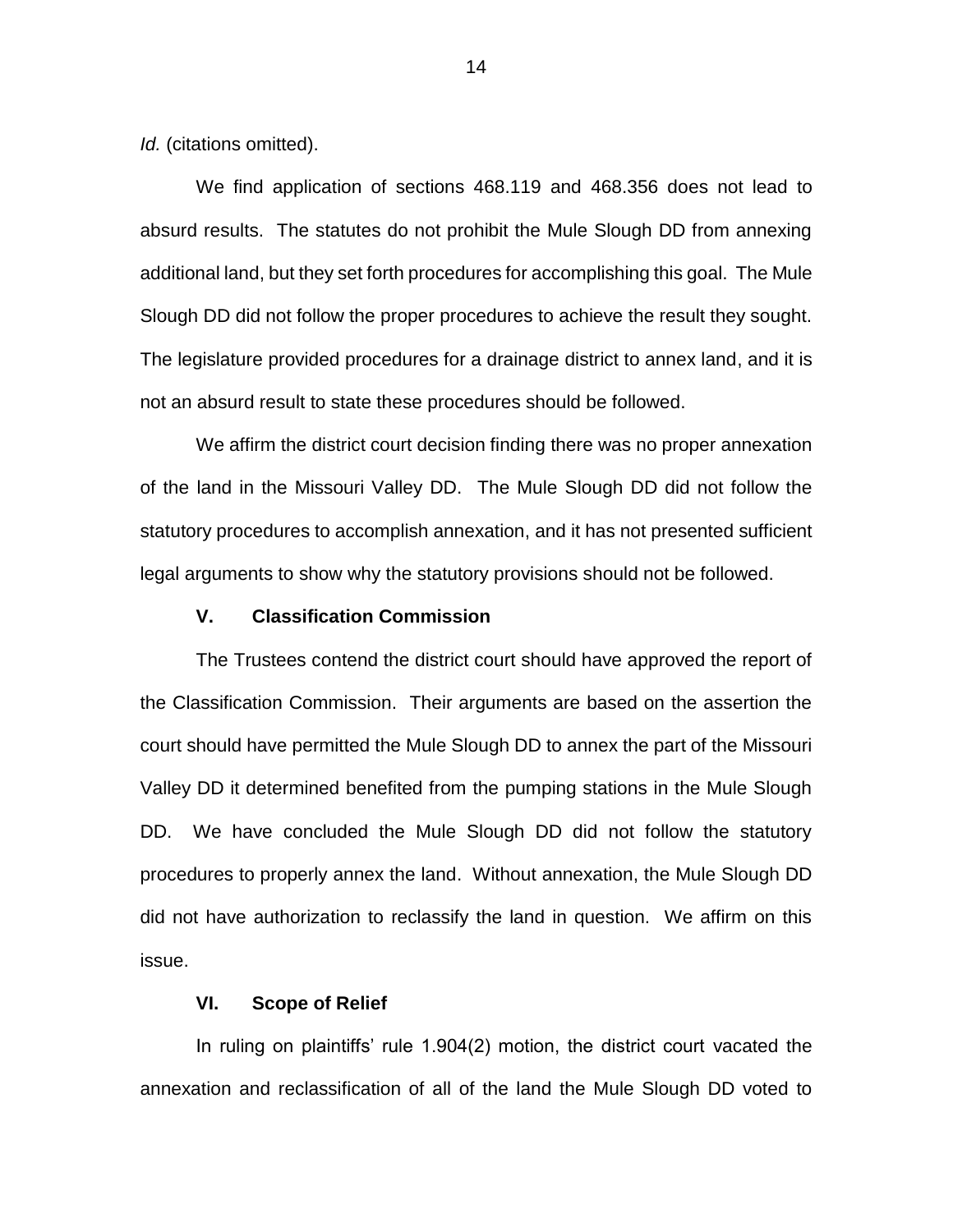*Id.* (citations omitted).

We find application of sections 468.119 and 468.356 does not lead to absurd results. The statutes do not prohibit the Mule Slough DD from annexing additional land, but they set forth procedures for accomplishing this goal. The Mule Slough DD did not follow the proper procedures to achieve the result they sought. The legislature provided procedures for a drainage district to annex land, and it is not an absurd result to state these procedures should be followed.

We affirm the district court decision finding there was no proper annexation of the land in the Missouri Valley DD. The Mule Slough DD did not follow the statutory procedures to accomplish annexation, and it has not presented sufficient legal arguments to show why the statutory provisions should not be followed.

## **V. Classification Commission**

The Trustees contend the district court should have approved the report of the Classification Commission. Their arguments are based on the assertion the court should have permitted the Mule Slough DD to annex the part of the Missouri Valley DD it determined benefited from the pumping stations in the Mule Slough DD. We have concluded the Mule Slough DD did not follow the statutory procedures to properly annex the land. Without annexation, the Mule Slough DD did not have authorization to reclassify the land in question. We affirm on this issue.

### **VI. Scope of Relief**

In ruling on plaintiffs' rule 1.904(2) motion, the district court vacated the annexation and reclassification of all of the land the Mule Slough DD voted to